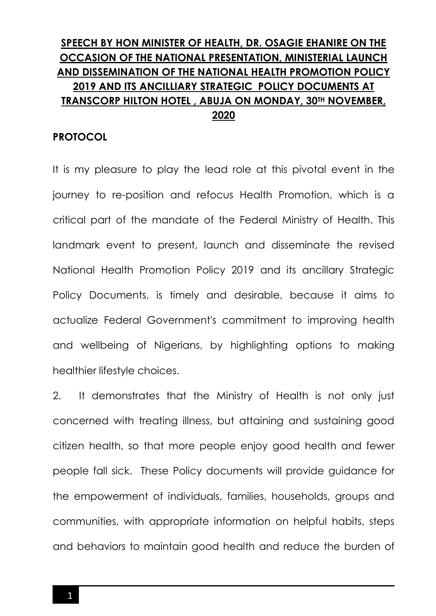# **SPEECH BY HON MINISTER OF HEALTH, DR. OSAGIE EHANIRE ON THE OCCASION OF THE NATIONAL PRESENTATION, MINISTERIAL LAUNCH AND DISSEMINATION OF THE NATIONAL HEALTH PROMOTION POLICY 2019 AND ITS ANCILLIARY STRATEGIC POLICY DOCUMENTS AT TRANSCORP HILTON HOTEL , ABUJA ON MONDAY, 30TH NOVEMBER, 2020**

#### **PROTOCOL**

It is my pleasure to play the lead role at this pivotal event in the journey to re-position and refocus Health Promotion, which is a critical part of the mandate of the Federal Ministry of Health. This landmark event to present, launch and disseminate the revised National Health Promotion Policy 2019 and its ancillary Strategic Policy Documents, is timely and desirable, because it aims to actualize Federal Government's commitment to improving health and wellbeing of Nigerians, by highlighting options to making healthier lifestyle choices.

2. It demonstrates that the Ministry of Health is not only just concerned with treating illness, but attaining and sustaining good citizen health, so that more people enjoy good health and fewer people fall sick. These Policy documents will provide guidance for the empowerment of individuals, families, households, groups and communities, with appropriate information on helpful habits, steps and behaviors to maintain good health and reduce the burden of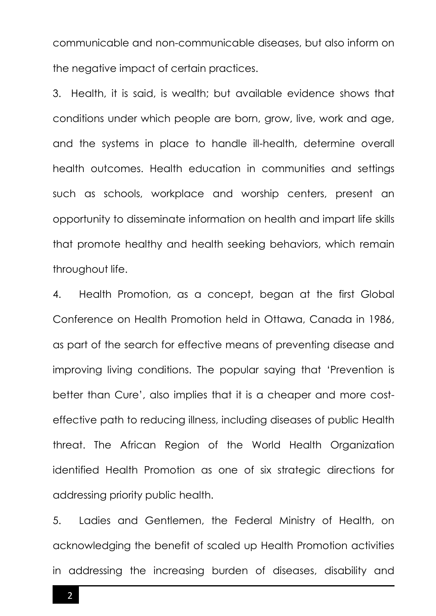communicable and non-communicable diseases, but also inform on the negative impact of certain practices.

3. Health, it is said, is wealth; but available evidence shows that conditions under which people are born, grow, live, work and age, and the systems in place to handle ill-health, determine overall health outcomes. Health education in communities and settings such as schools, workplace and worship centers, present an opportunity to disseminate information on health and impart life skills that promote healthy and health seeking behaviors, which remain throughout life.

4. Health Promotion, as a concept, began at the first Global Conference on Health Promotion held in Ottawa, Canada in 1986, as part of the search for effective means of preventing disease and improving living conditions. The popular saying that 'Prevention is better than Cure', also implies that it is a cheaper and more costeffective path to reducing illness, including diseases of public Health threat. The African Region of the World Health Organization identified Health Promotion as one of six strategic directions for addressing priority public health.

5. Ladies and Gentlemen, the Federal Ministry of Health, on acknowledging the benefit of scaled up Health Promotion activities in addressing the increasing burden of diseases, disability and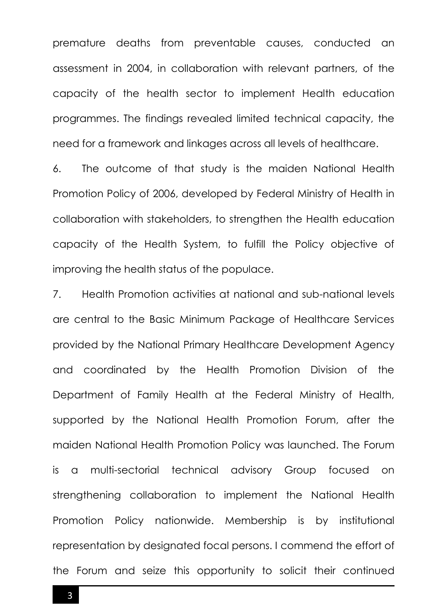premature deaths from preventable causes, conducted an assessment in 2004, in collaboration with relevant partners, of the capacity of the health sector to implement Health education programmes. The findings revealed limited technical capacity, the need for a framework and linkages across all levels of healthcare.

6. The outcome of that study is the maiden National Health Promotion Policy of 2006, developed by Federal Ministry of Health in collaboration with stakeholders, to strengthen the Health education capacity of the Health System, to fulfill the Policy objective of improving the health status of the populace.

7. Health Promotion activities at national and sub-national levels are central to the Basic Minimum Package of Healthcare Services provided by the National Primary Healthcare Development Agency and coordinated by the Health Promotion Division of the Department of Family Health at the Federal Ministry of Health, supported by the National Health Promotion Forum, after the maiden National Health Promotion Policy was launched. The Forum is a multi-sectorial technical advisory Group focused on strengthening collaboration to implement the National Health Promotion Policy nationwide. Membership is by institutional representation by designated focal persons. I commend the effort of the Forum and seize this opportunity to solicit their continued

 $3<sub>1</sub>$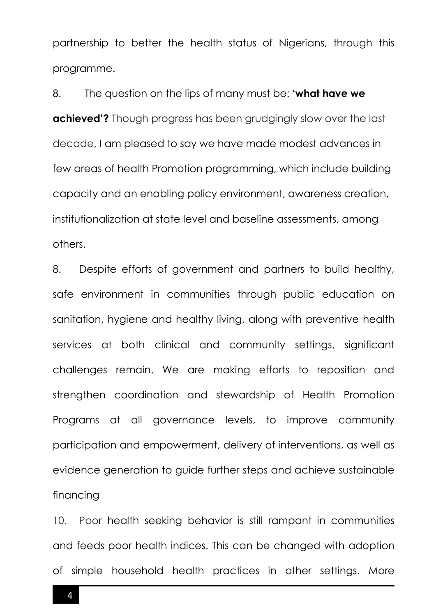partnership to better the health status of Nigerians, through this programme.

8. The question on the lips of many must be: **'what have we achieved'?** Though progress has been grudgingly slow over the last decade, I am pleased to say we have made modest advances in few areas of health Promotion programming, which include building capacity and an enabling policy environment, awareness creation, institutionalization at state level and baseline assessments, among others.

8. Despite efforts of government and partners to build healthy, safe environment in communities through public education on sanitation, hygiene and healthy living, along with preventive health services at both clinical and community settings, significant challenges remain. We are making efforts to reposition and strengthen coordination and stewardship of Health Promotion Programs at all governance levels, to improve community participation and empowerment, delivery of interventions, as well as evidence generation to guide further steps and achieve sustainable financing

10. Poor health seeking behavior is still rampant in communities and feeds poor health indices. This can be changed with adoption of simple household health practices in other settings. More

4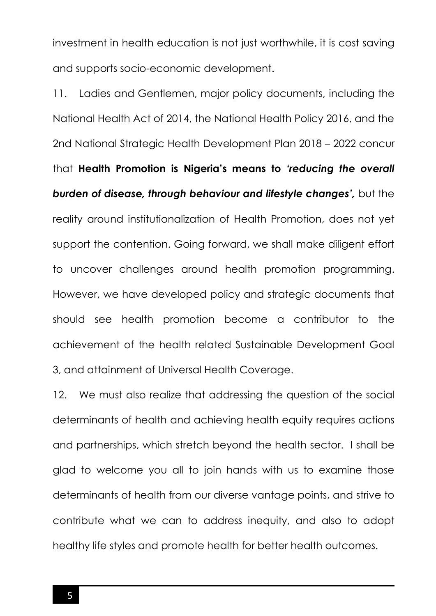investment in health education is not just worthwhile, it is cost saving and supports socio-economic development.

11. Ladies and Gentlemen, major policy documents, including the National Health Act of 2014, the National Health Policy 2016, and the 2nd National Strategic Health Development Plan 2018 – 2022 concur that **Health Promotion is Nigeria's means to** *'reducing the overall burden of disease, through behaviour and lifestyle changes',* but the reality around institutionalization of Health Promotion, does not yet support the contention. Going forward, we shall make diligent effort to uncover challenges around health promotion programming. However, we have developed policy and strategic documents that should see health promotion become a contributor to the achievement of the health related Sustainable Development Goal 3, and attainment of Universal Health Coverage.

12. We must also realize that addressing the question of the social determinants of health and achieving health equity requires actions and partnerships, which stretch beyond the health sector. I shall be glad to welcome you all to join hands with us to examine those determinants of health from our diverse vantage points, and strive to contribute what we can to address inequity, and also to adopt healthy life styles and promote health for better health outcomes.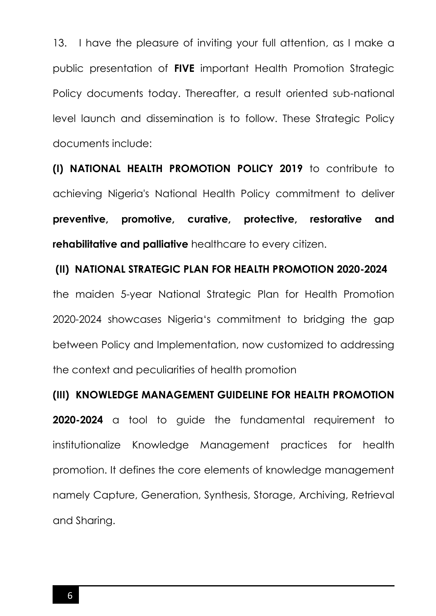13. I have the pleasure of inviting your full attention, as I make a public presentation of **FIVE** important Health Promotion Strategic Policy documents today. Thereafter, a result oriented sub-national level launch and dissemination is to follow. These Strategic Policy documents include:

**(I) NATIONAL HEALTH PROMOTION POLICY 2019** to contribute to achieving Nigeria's National Health Policy commitment to deliver **preventive, promotive, curative, protective, restorative and rehabilitative and palliative** healthcare to every citizen.

## **(II) NATIONAL STRATEGIC PLAN FOR HEALTH PROMOTION 2020-2024**

the maiden 5-year National Strategic Plan for Health Promotion 2020-2024 showcases Nigeria's commitment to bridging the gap between Policy and Implementation, now customized to addressing the context and peculiarities of health promotion

### **(III) KNOWLEDGE MANAGEMENT GUIDELINE FOR HEALTH PROMOTION**

**2020-2024** a tool to guide the fundamental requirement to institutionalize Knowledge Management practices for health promotion. It defines the core elements of knowledge management namely Capture, Generation, Synthesis, Storage, Archiving, Retrieval and Sharing.